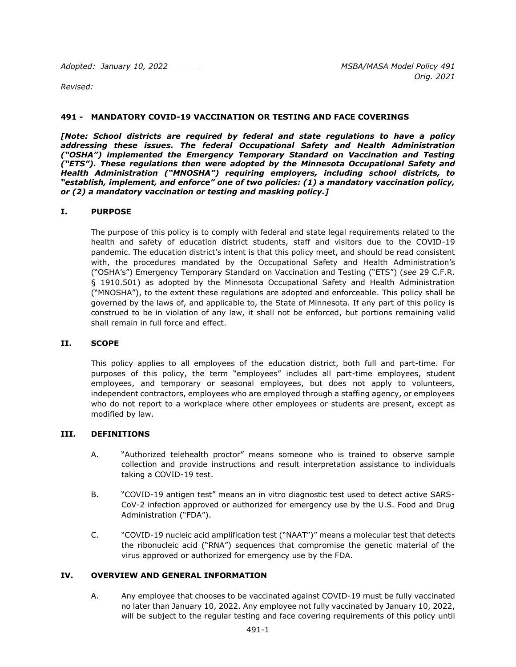Adopted: January 10, 2022 **MSBA/MASA Model Policy 491** 

*Revised:* 

#### **491 - MANDATORY COVID-19 VACCINATION OR TESTING AND FACE COVERINGS**

*[Note: School districts are required by federal and state regulations to have a policy addressing these issues. The federal Occupational Safety and Health Administration ("OSHA") implemented the Emergency Temporary Standard on Vaccination and Testing ("ETS"). These regulations then were adopted by the Minnesota Occupational Safety and Health Administration ("MNOSHA") requiring employers, including school districts, to "establish, implement, and enforce" one of two policies: (1) a mandatory vaccination policy, or (2) a mandatory vaccination or testing and masking policy.]*

#### **I. PURPOSE**

The purpose of this policy is to comply with federal and state legal requirements related to the health and safety of education district students, staff and visitors due to the COVID-19 pandemic. The education district's intent is that this policy meet, and should be read consistent with, the procedures mandated by the Occupational Safety and Health Administration's ("OSHA's") Emergency Temporary Standard on Vaccination and Testing ("ETS") (*see* 29 C.F.R. § 1910.501) as adopted by the Minnesota Occupational Safety and Health Administration ("MNOSHA"), to the extent these regulations are adopted and enforceable. This policy shall be governed by the laws of, and applicable to, the State of Minnesota. If any part of this policy is construed to be in violation of any law, it shall not be enforced, but portions remaining valid shall remain in full force and effect.

### **II. SCOPE**

This policy applies to all employees of the education district, both full and part-time. For purposes of this policy, the term "employees" includes all part-time employees, student employees, and temporary or seasonal employees, but does not apply to volunteers, independent contractors, employees who are employed through a staffing agency, or employees who do not report to a workplace where other employees or students are present, except as modified by law.

#### **III. DEFINITIONS**

- A. "Authorized telehealth proctor" means someone who is trained to observe sample collection and provide instructions and result interpretation assistance to individuals taking a COVID-19 test.
- B. "COVID-19 antigen test" means an in vitro diagnostic test used to detect active SARS-CoV-2 infection approved or authorized for emergency use by the U.S. Food and Drug Administration ("FDA").
- C. "COVID-19 nucleic acid amplification test ("NAAT")" means a molecular test that detects the ribonucleic acid ("RNA") sequences that compromise the genetic material of the virus approved or authorized for emergency use by the FDA.

### **IV. OVERVIEW AND GENERAL INFORMATION**

A. Any employee that chooses to be vaccinated against COVID-19 must be fully vaccinated no later than January 10, 2022. Any employee not fully vaccinated by January 10, 2022, will be subject to the regular testing and face covering requirements of this policy until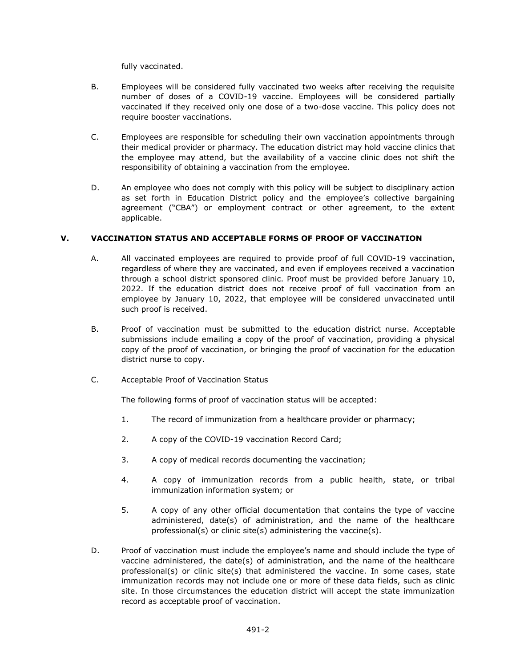fully vaccinated.

- B. Employees will be considered fully vaccinated two weeks after receiving the requisite number of doses of a COVID-19 vaccine. Employees will be considered partially vaccinated if they received only one dose of a two-dose vaccine. This policy does not require booster vaccinations.
- C. Employees are responsible for scheduling their own vaccination appointments through their medical provider or pharmacy. The education district may hold vaccine clinics that the employee may attend, but the availability of a vaccine clinic does not shift the responsibility of obtaining a vaccination from the employee.
- D. An employee who does not comply with this policy will be subject to disciplinary action as set forth in Education District policy and the employee's collective bargaining agreement ("CBA") or employment contract or other agreement, to the extent applicable.

# **V. VACCINATION STATUS AND ACCEPTABLE FORMS OF PROOF OF VACCINATION**

- A. All vaccinated employees are required to provide proof of full COVID-19 vaccination, regardless of where they are vaccinated, and even if employees received a vaccination through a school district sponsored clinic. Proof must be provided before January 10, 2022. If the education district does not receive proof of full vaccination from an employee by January 10, 2022, that employee will be considered unvaccinated until such proof is received.
- B. Proof of vaccination must be submitted to the education district nurse. Acceptable submissions include emailing a copy of the proof of vaccination, providing a physical copy of the proof of vaccination, or bringing the proof of vaccination for the education district nurse to copy.
- C. Acceptable Proof of Vaccination Status

The following forms of proof of vaccination status will be accepted:

- 1. The record of immunization from a healthcare provider or pharmacy;
- 2. A copy of the COVID-19 vaccination Record Card;
- 3. A copy of medical records documenting the vaccination;
- 4. A copy of immunization records from a public health, state, or tribal immunization information system; or
- 5. A copy of any other official documentation that contains the type of vaccine administered, date(s) of administration, and the name of the healthcare professional(s) or clinic site(s) administering the vaccine(s).
- D. Proof of vaccination must include the employee's name and should include the type of vaccine administered, the date(s) of administration, and the name of the healthcare professional(s) or clinic site(s) that administered the vaccine. In some cases, state immunization records may not include one or more of these data fields, such as clinic site. In those circumstances the education district will accept the state immunization record as acceptable proof of vaccination.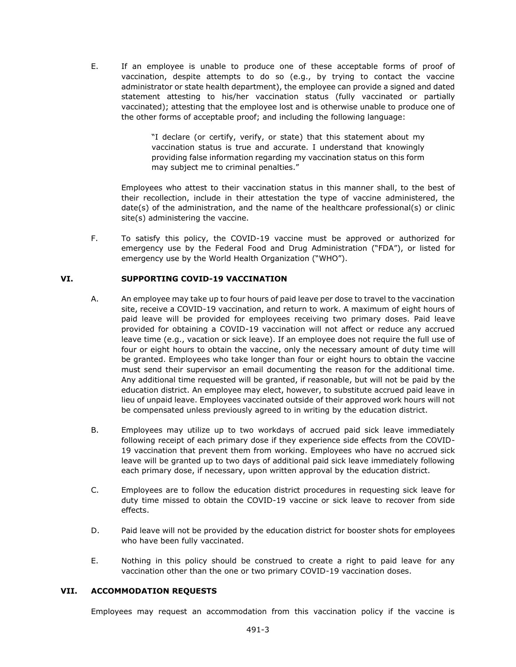E. If an employee is unable to produce one of these acceptable forms of proof of vaccination, despite attempts to do so (e.g., by trying to contact the vaccine administrator or state health department), the employee can provide a signed and dated statement attesting to his/her vaccination status (fully vaccinated or partially vaccinated); attesting that the employee lost and is otherwise unable to produce one of the other forms of acceptable proof; and including the following language:

> "I declare (or certify, verify, or state) that this statement about my vaccination status is true and accurate. I understand that knowingly providing false information regarding my vaccination status on this form may subject me to criminal penalties."

Employees who attest to their vaccination status in this manner shall, to the best of their recollection, include in their attestation the type of vaccine administered, the date(s) of the administration, and the name of the healthcare professional(s) or clinic site(s) administering the vaccine.

F. To satisfy this policy, the COVID-19 vaccine must be approved or authorized for emergency use by the Federal Food and Drug Administration ("FDA"), or listed for emergency use by the World Health Organization ("WHO").

# **VI. SUPPORTING COVID-19 VACCINATION**

- A. An employee may take up to four hours of paid leave per dose to travel to the vaccination site, receive a COVID-19 vaccination, and return to work. A maximum of eight hours of paid leave will be provided for employees receiving two primary doses. Paid leave provided for obtaining a COVID-19 vaccination will not affect or reduce any accrued leave time (e.g., vacation or sick leave). If an employee does not require the full use of four or eight hours to obtain the vaccine, only the necessary amount of duty time will be granted. Employees who take longer than four or eight hours to obtain the vaccine must send their supervisor an email documenting the reason for the additional time. Any additional time requested will be granted, if reasonable, but will not be paid by the education district. An employee may elect, however, to substitute accrued paid leave in lieu of unpaid leave. Employees vaccinated outside of their approved work hours will not be compensated unless previously agreed to in writing by the education district.
- B. Employees may utilize up to two workdays of accrued paid sick leave immediately following receipt of each primary dose if they experience side effects from the COVID-19 vaccination that prevent them from working. Employees who have no accrued sick leave will be granted up to two days of additional paid sick leave immediately following each primary dose, if necessary, upon written approval by the education district.
- C. Employees are to follow the education district procedures in requesting sick leave for duty time missed to obtain the COVID-19 vaccine or sick leave to recover from side effects.
- D. Paid leave will not be provided by the education district for booster shots for employees who have been fully vaccinated.
- E. Nothing in this policy should be construed to create a right to paid leave for any vaccination other than the one or two primary COVID-19 vaccination doses.

### **VII. ACCOMMODATION REQUESTS**

Employees may request an accommodation from this vaccination policy if the vaccine is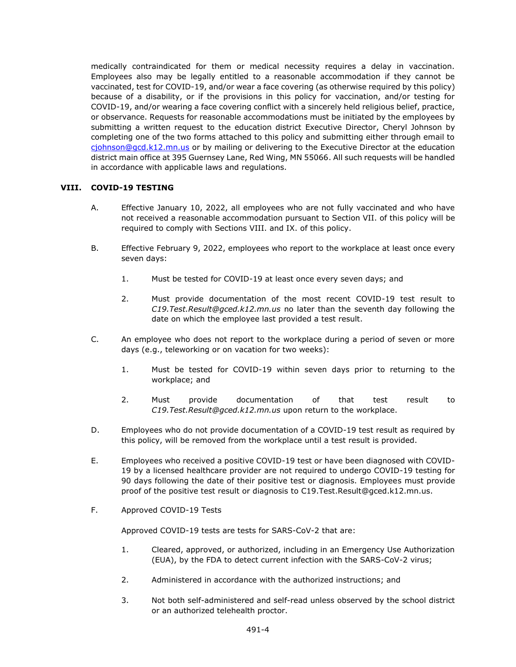medically contraindicated for them or medical necessity requires a delay in vaccination. Employees also may be legally entitled to a reasonable accommodation if they cannot be vaccinated, test for COVID-19, and/or wear a face covering (as otherwise required by this policy) because of a disability, or if the provisions in this policy for vaccination, and/or testing for COVID-19, and/or wearing a face covering conflict with a sincerely held religious belief, practice, or observance. Requests for reasonable accommodations must be initiated by the employees by submitting a written request to the education district Executive Director, Cheryl Johnson by completing one of the two forms attached to this policy and submitting either through email to [cjohnson@gcd.k12.mn.us](mailto:cjohnson@gcd.k12.mn.us) or by mailing or delivering to the Executive Director at the education district main office at 395 Guernsey Lane, Red Wing, MN 55066. All such requests will be handled in accordance with applicable laws and regulations.

# **VIII. COVID-19 TESTING**

- A. Effective January 10, 2022, all employees who are not fully vaccinated and who have not received a reasonable accommodation pursuant to Section VII. of this policy will be required to comply with Sections VIII. and IX. of this policy.
- B. Effective February 9, 2022, employees who report to the workplace at least once every seven days:
	- 1. Must be tested for COVID-19 at least once every seven days; and
	- 2. Must provide documentation of the most recent COVID-19 test result to *C19.Test.Result@gced.k12.mn.us* no later than the seventh day following the date on which the employee last provided a test result.
- C. An employee who does not report to the workplace during a period of seven or more days (e.g., teleworking or on vacation for two weeks):
	- 1. Must be tested for COVID-19 within seven days prior to returning to the workplace; and
	- 2. Must provide documentation of that test result to *C19.Test.Result@gced.k12.mn.us* upon return to the workplace.
- D. Employees who do not provide documentation of a COVID-19 test result as required by this policy, will be removed from the workplace until a test result is provided.
- E. Employees who received a positive COVID-19 test or have been diagnosed with COVID-19 by a licensed healthcare provider are not required to undergo COVID-19 testing for 90 days following the date of their positive test or diagnosis. Employees must provide proof of the positive test result or diagnosis to C19.Test.Result@gced.k12.mn.us.
- F. Approved COVID-19 Tests

Approved COVID-19 tests are tests for SARS-CoV-2 that are:

- 1. Cleared, approved, or authorized, including in an Emergency Use Authorization (EUA), by the FDA to detect current infection with the SARS-CoV-2 virus;
- 2. Administered in accordance with the authorized instructions; and
- 3. Not both self-administered and self-read unless observed by the school district or an authorized telehealth proctor.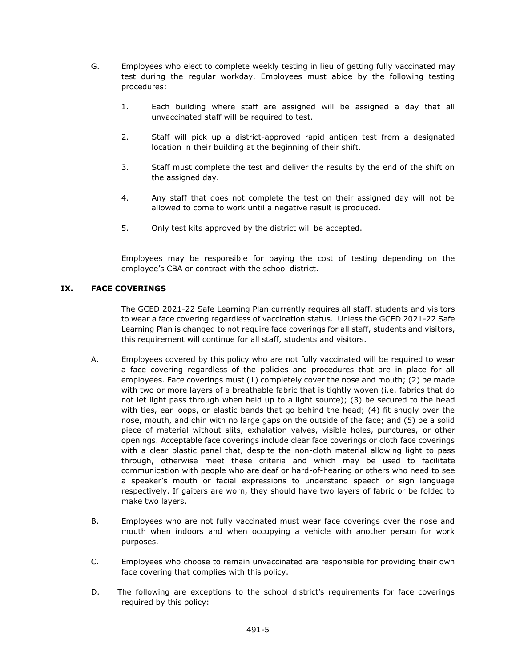- G. Employees who elect to complete weekly testing in lieu of getting fully vaccinated may test during the regular workday. Employees must abide by the following testing procedures:
	- 1. Each building where staff are assigned will be assigned a day that all unvaccinated staff will be required to test.
	- 2. Staff will pick up a district-approved rapid antigen test from a designated location in their building at the beginning of their shift.
	- 3. Staff must complete the test and deliver the results by the end of the shift on the assigned day.
	- 4. Any staff that does not complete the test on their assigned day will not be allowed to come to work until a negative result is produced.
	- 5. Only test kits approved by the district will be accepted.

Employees may be responsible for paying the cost of testing depending on the employee's CBA or contract with the school district.

### **IX. FACE COVERINGS**

The GCED 2021-22 Safe Learning Plan currently requires all staff, students and visitors to wear a face covering regardless of vaccination status. Unless the GCED 2021-22 Safe Learning Plan is changed to not require face coverings for all staff, students and visitors, this requirement will continue for all staff, students and visitors.

- A. Employees covered by this policy who are not fully vaccinated will be required to wear a face covering regardless of the policies and procedures that are in place for all employees. Face coverings must (1) completely cover the nose and mouth; (2) be made with two or more layers of a breathable fabric that is tightly woven (i.e. fabrics that do not let light pass through when held up to a light source); (3) be secured to the head with ties, ear loops, or elastic bands that go behind the head; (4) fit snugly over the nose, mouth, and chin with no large gaps on the outside of the face; and (5) be a solid piece of material without slits, exhalation valves, visible holes, punctures, or other openings. Acceptable face coverings include clear face coverings or cloth face coverings with a clear plastic panel that, despite the non-cloth material allowing light to pass through, otherwise meet these criteria and which may be used to facilitate communication with people who are deaf or hard-of-hearing or others who need to see a speaker's mouth or facial expressions to understand speech or sign language respectively. If gaiters are worn, they should have two layers of fabric or be folded to make two layers.
- B. Employees who are not fully vaccinated must wear face coverings over the nose and mouth when indoors and when occupying a vehicle with another person for work purposes.
- C. Employees who choose to remain unvaccinated are responsible for providing their own face covering that complies with this policy.
- D. The following are exceptions to the school district's requirements for face coverings required by this policy: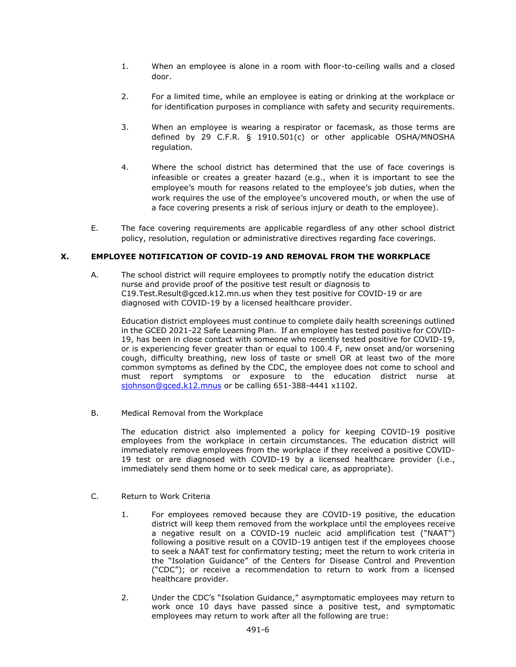- 1. When an employee is alone in a room with floor-to-ceiling walls and a closed door.
- 2. For a limited time, while an employee is eating or drinking at the workplace or for identification purposes in compliance with safety and security requirements.
- 3. When an employee is wearing a respirator or facemask, as those terms are defined by 29 C.F.R. § 1910.501(c) or other applicable OSHA/MNOSHA regulation.
- 4. Where the school district has determined that the use of face coverings is infeasible or creates a greater hazard (e.g., when it is important to see the employee's mouth for reasons related to the employee's job duties, when the work requires the use of the employee's uncovered mouth, or when the use of a face covering presents a risk of serious injury or death to the employee).
- E. The face covering requirements are applicable regardless of any other school district policy, resolution, regulation or administrative directives regarding face coverings.

## **X. EMPLOYEE NOTIFICATION OF COVID-19 AND REMOVAL FROM THE WORKPLACE**

A. The school district will require employees to promptly notify the education district nurse and provide proof of the positive test result or diagnosis to C19.Test.Result@gced.k12.mn.us when they test positive for COVID-19 or are diagnosed with COVID-19 by a licensed healthcare provider.

Education district employees must continue to complete daily health screenings outlined in the GCED 2021-22 Safe Learning Plan. If an employee has tested positive for COVID-19, has been in close contact with someone who recently tested positive for COVID-19, or is experiencing fever greater than or equal to 100.4 F, new onset and/or worsening cough, difficulty breathing, new loss of taste or smell OR at least two of the more common symptoms as defined by the CDC, the employee does not come to school and must report symptoms or exposure to the education district nurse at [sjohnson@gced.k12.mnus](mailto:sjohnson@gced.k12.mnus) or be calling 651-388-4441 x1102.

B. Medical Removal from the Workplace

The education district also implemented a policy for keeping COVID-19 positive employees from the workplace in certain circumstances. The education district will immediately remove employees from the workplace if they received a positive COVID-19 test or are diagnosed with COVID-19 by a licensed healthcare provider (i.e., immediately send them home or to seek medical care, as appropriate).

- C. Return to Work Criteria
	- 1. For employees removed because they are COVID-19 positive, the education district will keep them removed from the workplace until the employees receive a negative result on a COVID-19 nucleic acid amplification test ("NAAT") following a positive result on a COVID-19 antigen test if the employees choose to seek a NAAT test for confirmatory testing; meet the return to work criteria in the "Isolation Guidance" of the Centers for Disease Control and Prevention ("CDC"); or receive a recommendation to return to work from a licensed healthcare provider.
	- 2. Under the CDC's "Isolation Guidance," asymptomatic employees may return to work once 10 days have passed since a positive test, and symptomatic employees may return to work after all the following are true: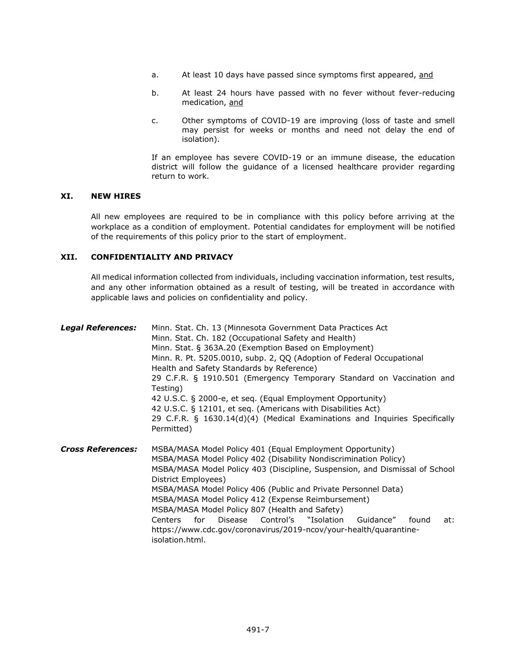- a. At least 10 days have passed since symptoms first appeared, and
- b. At least 24 hours have passed with no fever without fever-reducing medication, and
- c. Other symptoms of COVID-19 are improving (loss of taste and smell may persist for weeks or months and need not delay the end of isolation).

If an employee has severe COVID-19 or an immune disease, the education district will follow the guidance of a licensed healthcare provider regarding return to work.

#### **XI. NEW HIRES**

All new employees are required to be in compliance with this policy before arriving at the workplace as a condition of employment. Potential candidates for employment will be notified of the requirements of this policy prior to the start of employment.

### **XII. CONFIDENTIALITY AND PRIVACY**

All medical information collected from individuals, including vaccination information, test results, and any other information obtained as a result of testing, will be treated in accordance with applicable laws and policies on confidentiality and policy.

| <b>Legal References:</b> | Minn. Stat. Ch. 13 (Minnesota Government Data Practices Act<br>Minn. Stat. Ch. 182 (Occupational Safety and Health)<br>Minn. Stat. § 363A.20 (Exemption Based on Employment)<br>Minn. R. Pt. 5205.0010, subp. 2, QQ (Adoption of Federal Occupational<br>Health and Safety Standards by Reference)<br>29 C.F.R. § 1910.501 (Emergency Temporary Standard on Vaccination and<br>Testing)<br>42 U.S.C. § 2000-e, et seq. (Equal Employment Opportunity)<br>42 U.S.C. § 12101, et seq. (Americans with Disabilities Act)<br>29 C.F.R. § 1630.14(d)(4) (Medical Examinations and Inquiries Specifically<br>Permitted) |  |  |  |
|--------------------------|-------------------------------------------------------------------------------------------------------------------------------------------------------------------------------------------------------------------------------------------------------------------------------------------------------------------------------------------------------------------------------------------------------------------------------------------------------------------------------------------------------------------------------------------------------------------------------------------------------------------|--|--|--|
| <b>Cross References:</b> | MSBA/MASA Model Policy 401 (Equal Employment Opportunity)<br>MSBA/MASA Model Policy 402 (Disability Nondiscrimination Policy)<br>MSBA/MASA Model Policy 403 (Discipline, Suspension, and Dismissal of School<br>District Employees)<br>MSBA/MASA Model Policy 406 (Public and Private Personnel Data)<br>MSBA/MASA Model Policy 412 (Expense Reimbursement)<br>MSBA/MASA Model Policy 807 (Health and Safety)<br>for<br><b>Disease</b><br>Control's "Isolation<br><b>Centers</b><br>Guidance"<br>found<br>at:<br>https://www.cdc.gov/coronavirus/2019-ncov/your-health/quarantine-<br>isolation.html.             |  |  |  |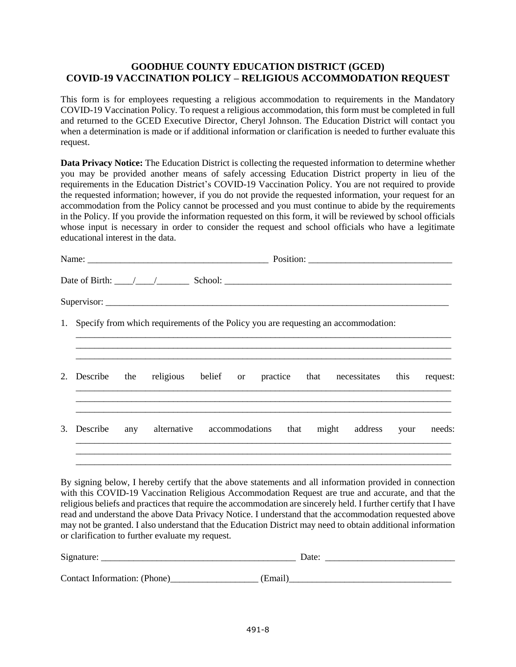# **GOODHUE COUNTY EDUCATION DISTRICT (GCED) COVID-19 VACCINATION POLICY – RELIGIOUS ACCOMMODATION REQUEST**

This form is for employees requesting a religious accommodation to requirements in the Mandatory COVID-19 Vaccination Policy. To request a religious accommodation, this form must be completed in full and returned to the GCED Executive Director, Cheryl Johnson. The Education District will contact you when a determination is made or if additional information or clarification is needed to further evaluate this request.

**Data Privacy Notice:** The Education District is collecting the requested information to determine whether you may be provided another means of safely accessing Education District property in lieu of the requirements in the Education District's COVID-19 Vaccination Policy. You are not required to provide the requested information; however, if you do not provide the requested information, your request for an accommodation from the Policy cannot be processed and you must continue to abide by the requirements in the Policy. If you provide the information requested on this form, it will be reviewed by school officials whose input is necessary in order to consider the request and school officials who have a legitimate educational interest in the data.

|    |          |     | Date of Birth: $\frac{1}{\sqrt{2}}$ School: <u>School:</u> School: <u>School: School: School: School: School: School: School: School: School: School: School: School: School: School: School: School: School: School: School: School: School</u> |  |      |  |               |      |        |
|----|----------|-----|--------------------------------------------------------------------------------------------------------------------------------------------------------------------------------------------------------------------------------------------------|--|------|--|---------------|------|--------|
|    |          |     |                                                                                                                                                                                                                                                  |  |      |  |               |      |        |
|    |          |     | 1. Specify from which requirements of the Policy you are requesting an accommodation:                                                                                                                                                            |  |      |  |               |      |        |
|    |          |     | 2. Describe the religious belief or practice that necessitates this request:                                                                                                                                                                     |  |      |  |               |      |        |
| 3. | Describe | any | alternative accommodations                                                                                                                                                                                                                       |  | that |  | might address | your | needs: |
|    |          |     |                                                                                                                                                                                                                                                  |  |      |  |               |      |        |

By signing below, I hereby certify that the above statements and all information provided in connection with this COVID-19 Vaccination Religious Accommodation Request are true and accurate, and that the religious beliefs and practices that require the accommodation are sincerely held. I further certify that I have read and understand the above Data Privacy Notice. I understand that the accommodation requested above may not be granted. I also understand that the Education District may need to obtain additional information or clarification to further evaluate my request.

| Signature:                   | Date:   |
|------------------------------|---------|
|                              |         |
| Contact Information: (Phone) | (Email` |